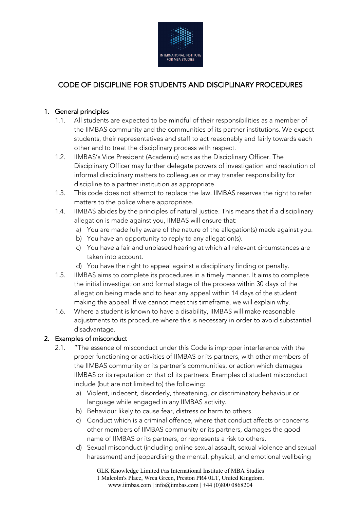

# CODE OF DISCIPLINE FOR STUDENTS AND DISCIPLINARY PROCEDURES

# 1. General principles

- 1.1. All students are expected to be mindful of their responsibilities as a member of the IIMBAS community and the communities of its partner institutions. We expect students, their representatives and staff to act reasonably and fairly towards each other and to treat the disciplinary process with respect.
- 1.2. IIMBAS's Vice President (Academic) acts as the Disciplinary Officer. The Disciplinary Officer may further delegate powers of investigation and resolution of informal disciplinary matters to colleagues or may transfer responsibility for discipline to a partner institution as appropriate.
- 1.3. This code does not attempt to replace the law. IIMBAS reserves the right to refer matters to the police where appropriate.
- 1.4. IIMBAS abides by the principles of natural justice. This means that if a disciplinary allegation is made against you, IIMBAS will ensure that:
	- a) You are made fully aware of the nature of the allegation(s) made against you.
	- b) You have an opportunity to reply to any allegation(s).
	- c) You have a fair and unbiased hearing at which all relevant circumstances are taken into account.
	- d) You have the right to appeal against a disciplinary finding or penalty.
- 1.5. IIMBAS aims to complete its procedures in a timely manner. It aims to complete the initial investigation and formal stage of the process within 30 days of the allegation being made and to hear any appeal within 14 days of the student making the appeal. If we cannot meet this timeframe, we will explain why.
- 1.6. Where a student is known to have a disability, IIMBAS will make reasonable adjustments to its procedure where this is necessary in order to avoid substantial disadvantage.

# 2. Examples of misconduct

- 2.1. "The essence of misconduct under this Code is improper interference with the proper functioning or activities of IIMBAS or its partners, with other members of the IIMBAS community or its partner's communities, or action which damages IIMBAS or its reputation or that of its partners. Examples of student misconduct include (but are not limited to) the following:
	- a) Violent, indecent, disorderly, threatening, or discriminatory behaviour or language while engaged in any IIMBAS activity.
	- b) Behaviour likely to cause fear, distress or harm to others.
	- c) Conduct which is a criminal offence, where that conduct affects or concerns other members of IIMBAS community or its partners, damages the good name of IIMBAS or its partners, or represents a risk to others.
	- d) Sexual misconduct (including online sexual assault, sexual violence and sexual harassment) and jeopardising the mental, physical, and emotional wellbeing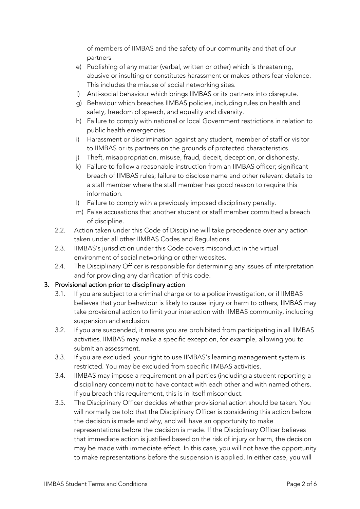of members of IIMBAS and the safety of our community and that of our partners

- e) Publishing of any matter (verbal, written or other) which is threatening, abusive or insulting or constitutes harassment or makes others fear violence. This includes the misuse of social networking sites.
- f) Anti-social behaviour which brings IIMBAS or its partners into disrepute.
- g) Behaviour which breaches IIMBAS policies, including rules on health and safety, freedom of speech, and equality and diversity.
- h) Failure to comply with national or local Government restrictions in relation to public health emergencies.
- i) Harassment or discrimination against any student, member of staff or visitor to IIMBAS or its partners on the grounds of protected characteristics.
- j) Theft, misappropriation, misuse, fraud, deceit, deception, or dishonesty.
- k) Failure to follow a reasonable instruction from an IIMBAS officer; significant breach of IIMBAS rules; failure to disclose name and other relevant details to a staff member where the staff member has good reason to require this information.
- l) Failure to comply with a previously imposed disciplinary penalty.
- m) False accusations that another student or staff member committed a breach of discipline.
- 2.2. Action taken under this Code of Discipline will take precedence over any action taken under all other IIMBAS Codes and Regulations.
- 2.3. IIMBAS's jurisdiction under this Code covers misconduct in the virtual environment of social networking or other websites.
- 2.4. The Disciplinary Officer is responsible for determining any issues of interpretation and for providing any clarification of this code.

# 3. Provisional action prior to disciplinary action

- 3.1. If you are subject to a criminal charge or to a police investigation, or if IIMBAS believes that your behaviour is likely to cause injury or harm to others, IIMBAS may take provisional action to limit your interaction with IIMBAS community, including suspension and exclusion.
- 3.2. If you are suspended, it means you are prohibited from participating in all IIMBAS activities. IIMBAS may make a specific exception, for example, allowing you to submit an assessment.
- 3.3. If you are excluded, your right to use IIMBAS's learning management system is restricted. You may be excluded from specific IIMBAS activities.
- 3.4. IIMBAS may impose a requirement on all parties (including a student reporting a disciplinary concern) not to have contact with each other and with named others. If you breach this requirement, this is in itself misconduct.
- 3.5. The Disciplinary Officer decides whether provisional action should be taken. You will normally be told that the Disciplinary Officer is considering this action before the decision is made and why, and will have an opportunity to make representations before the decision is made. If the Disciplinary Officer believes that immediate action is justified based on the risk of injury or harm, the decision may be made with immediate effect. In this case, you will not have the opportunity to make representations before the suspension is applied. In either case, you will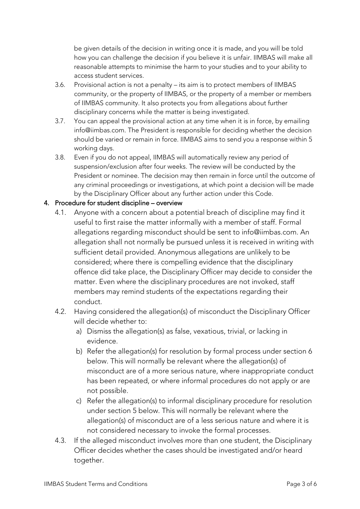be given details of the decision in writing once it is made, and you will be told how you can challenge the decision if you believe it is unfair. IIMBAS will make all reasonable attempts to minimise the harm to your studies and to your ability to access student services.

- 3.6. Provisional action is not a penalty its aim is to protect members of IIMBAS community, or the property of IIMBAS, or the property of a member or members of IIMBAS community. It also protects you from allegations about further disciplinary concerns while the matter is being investigated.
- 3.7. You can appeal the provisional action at any time when it is in force, by emailing info@iimbas.com. The President is responsible for deciding whether the decision should be varied or remain in force. IIMBAS aims to send you a response within 5 working days.
- 3.8. Even if you do not appeal, IIMBAS will automatically review any period of suspension/exclusion after four weeks. The review will be conducted by the President or nominee. The decision may then remain in force until the outcome of any criminal proceedings or investigations, at which point a decision will be made by the Disciplinary Officer about any further action under this Code.

## 4. Procedure for student discipline – overview

- 4.1. Anyone with a concern about a potential breach of discipline may find it useful to first raise the matter informally with a member of staff. Formal allegations regarding misconduct should be sent to info@iimbas.com. An allegation shall not normally be pursued unless it is received in writing with sufficient detail provided. Anonymous allegations are unlikely to be considered; where there is compelling evidence that the disciplinary offence did take place, the Disciplinary Officer may decide to consider the matter. Even where the disciplinary procedures are not invoked, staff members may remind students of the expectations regarding their conduct.
- 4.2. Having considered the allegation(s) of misconduct the Disciplinary Officer will decide whether to:
	- a) Dismiss the allegation(s) as false, vexatious, trivial, or lacking in evidence.
	- b) Refer the allegation(s) for resolution by formal process under section 6 below. This will normally be relevant where the allegation(s) of misconduct are of a more serious nature, where inappropriate conduct has been repeated, or where informal procedures do not apply or are not possible.
	- c) Refer the allegation(s) to informal disciplinary procedure for resolution under section 5 below. This will normally be relevant where the allegation(s) of misconduct are of a less serious nature and where it is not considered necessary to invoke the formal processes.
- 4.3. If the alleged misconduct involves more than one student, the Disciplinary Officer decides whether the cases should be investigated and/or heard together.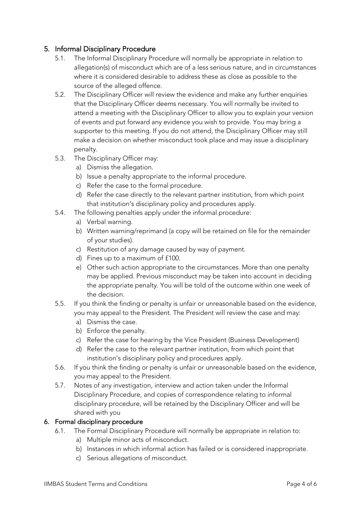# 5. Informal Disciplinary Procedure

- 5.1. The Informal Disciplinary Procedure will normally be appropriate in relation to allegation(s) of misconduct which are of a less serious nature, and in circumstances where it is considered desirable to address these as close as possible to the source of the alleged offence.
- 5.2. The Disciplinary Officer will review the evidence and make any further enquiries that the Disciplinary Officer deems necessary. You will normally be invited to attend a meeting with the Disciplinary Officer to allow you to explain your version of events and put forward any evidence you wish to provide. You may bring a supporter to this meeting. If you do not attend, the Disciplinary Officer may still make a decision on whether misconduct took place and may issue a disciplinary penalty.
- 5.3. The Disciplinary Officer may:
	- a) Dismiss the allegation.
	- b) Issue a penalty appropriate to the informal procedure.
	- c) Refer the case to the formal procedure.
	- d) Refer the case directly to the relevant partner institution, from which point that institution's disciplinary policy and procedures apply.
- 5.4. The following penalties apply under the informal procedure:
	- a) Verbal warning.
	- b) Written warning/reprimand (a copy will be retained on file for the remainder of your studies).
	- c) Restitution of any damage caused by way of payment.
	- d) Fines up to a maximum of £100.
	- e) Other such action appropriate to the circumstances. More than one penalty may be applied. Previous misconduct may be taken into account in deciding the appropriate penalty. You will be told of the outcome within one week of the decision.
- 5.5. If you think the finding or penalty is unfair or unreasonable based on the evidence, you may appeal to the President. The President will review the case and may:
	- a) Dismiss the case.
	- b) Enforce the penalty.
	- c) Refer the case for hearing by the Vice President (Business Development)
	- d) Refer the case to the relevant partner institution, from which point that institution's disciplinary policy and procedures apply.
- 5.6. If you think the finding or penalty is unfair or unreasonable based on the evidence, you may appeal to the President.
- 5.7. Notes of any investigation, interview and action taken under the Informal Disciplinary Procedure, and copies of correspondence relating to informal disciplinary procedure, will be retained by the Disciplinary Officer and will be shared with you

### 6. Formal disciplinary procedure

- 6.1. The Formal Disciplinary Procedure will normally be appropriate in relation to:
	- a) Multiple minor acts of misconduct.
	- b) Instances in which informal action has failed or is considered inappropriate.
	- c) Serious allegations of misconduct.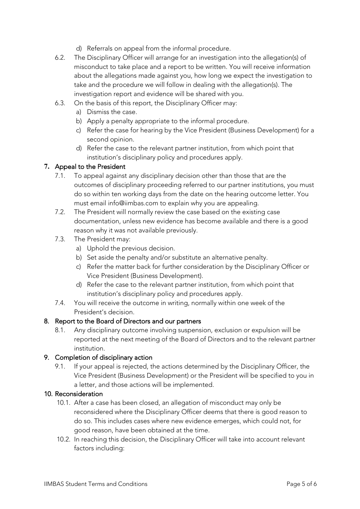- d) Referrals on appeal from the informal procedure.
- 6.2. The Disciplinary Officer will arrange for an investigation into the allegation(s) of misconduct to take place and a report to be written. You will receive information about the allegations made against you, how long we expect the investigation to take and the procedure we will follow in dealing with the allegation(s). The investigation report and evidence will be shared with you.
- 6.3. On the basis of this report, the Disciplinary Officer may:
	- a) Dismiss the case.
	- b) Apply a penalty appropriate to the informal procedure.
	- c) Refer the case for hearing by the Vice President (Business Development) for a second opinion.
	- d) Refer the case to the relevant partner institution, from which point that institution's disciplinary policy and procedures apply.

#### **7.** Appeal to the President

- 7.1. To appeal against any disciplinary decision other than those that are the outcomes of disciplinary proceeding referred to our partner institutions, you must do so within ten working days from the date on the hearing outcome letter. You must email info@iimbas.com to explain why you are appealing.
- 7.2. The President will normally review the case based on the existing case documentation, unless new evidence has become available and there is a good reason why it was not available previously.
- 7.3. The President may:
	- a) Uphold the previous decision.
	- b) Set aside the penalty and/or substitute an alternative penalty.
	- c) Refer the matter back for further consideration by the Disciplinary Officer or Vice President (Business Development).
	- d) Refer the case to the relevant partner institution, from which point that institution's disciplinary policy and procedures apply.
- 7.4. You will receive the outcome in writing, normally within one week of the President's decision.

### 8. Report to the Board of Directors and our partners

8.1. Any disciplinary outcome involving suspension, exclusion or expulsion will be reported at the next meeting of the Board of Directors and to the relevant partner institution.

#### 9. Completion of disciplinary action

9.1. If your appeal is rejected, the actions determined by the Disciplinary Officer, the Vice President (Business Development) or the President will be specified to you in a letter, and those actions will be implemented.

#### 10. Reconsideration

- 10.1. After a case has been closed, an allegation of misconduct may only be reconsidered where the Disciplinary Officer deems that there is good reason to do so. This includes cases where new evidence emerges, which could not, for good reason, have been obtained at the time.
- 10.2. In reaching this decision, the Disciplinary Officer will take into account relevant factors including: